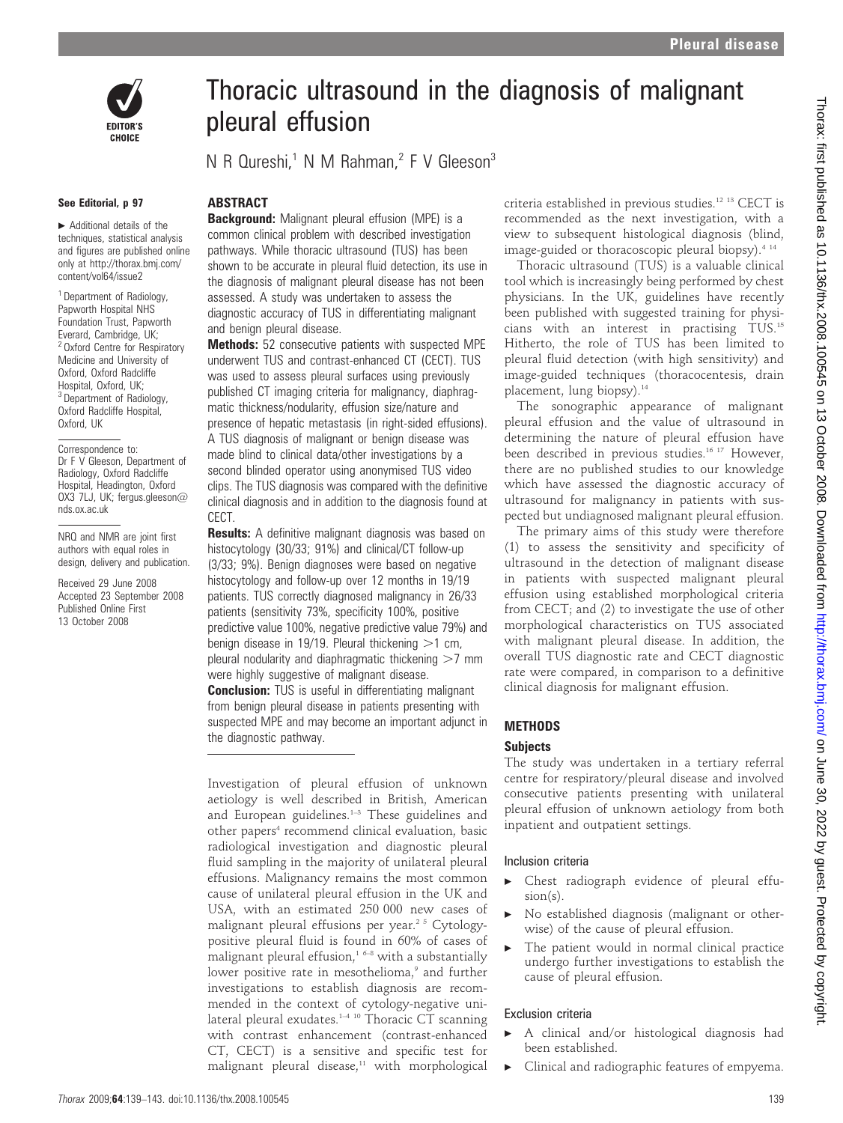



#### See Editorial, p 97

 $\blacktriangleright$  Additional details of the techniques, statistical analysis and figures are published online only at http://thorax.bmj.com/ content/vol64/issue2

<sup>1</sup> Department of Radiology, Papworth Hospital NHS Foundation Trust, Papworth Everard, Cambridge, UK; <sup>2</sup> Oxford Centre for Respiratory Medicine and University of Oxford, Oxford Radcliffe Hospital, Oxford, UK; <sup>3</sup> Department of Radiology, Oxford Radcliffe Hospital, Oxford, UK

Correspondence to: Dr F V Gleeson, Department of Radiology, Oxford Radcliffe Hospital, Headington, Oxford OX3 7LJ, UK; fergus.gleeson@ nds.ox.ac.uk

NRQ and NMR are joint first authors with equal roles in design, delivery and publication.

Received 29 June 2008 Accepted 23 September 2008 Published Online First 13 October 2008

# Thoracic ultrasound in the diagnosis of malignant pleural effusion

N R Qureshi,<sup>1</sup> N M Rahman,<sup>2</sup> F V Gleeson<sup>3</sup>

#### ABSTRACT

**Background:** Malignant pleural effusion (MPE) is a common clinical problem with described investigation pathways. While thoracic ultrasound (TUS) has been shown to be accurate in pleural fluid detection, its use in the diagnosis of malignant pleural disease has not been assessed. A study was undertaken to assess the diagnostic accuracy of TUS in differentiating malignant and benign pleural disease.

Methods: 52 consecutive patients with suspected MPE underwent TUS and contrast-enhanced CT (CECT). TUS was used to assess pleural surfaces using previously published CT imaging criteria for malignancy, diaphragmatic thickness/nodularity, effusion size/nature and presence of hepatic metastasis (in right-sided effusions). A TUS diagnosis of malignant or benign disease was made blind to clinical data/other investigations by a second blinded operator using anonymised TUS video clips. The TUS diagnosis was compared with the definitive clinical diagnosis and in addition to the diagnosis found at CECT.

**Results:** A definitive malignant diagnosis was based on histocytology (30/33; 91%) and clinical/CT follow-up (3/33; 9%). Benign diagnoses were based on negative histocytology and follow-up over 12 months in 19/19 patients. TUS correctly diagnosed malignancy in 26/33 patients (sensitivity 73%, specificity 100%, positive predictive value 100%, negative predictive value 79%) and benign disease in 19/19. Pleural thickening  $>1$  cm, pleural nodularity and diaphragmatic thickening  $>7$  mm were highly suggestive of malignant disease.

**Conclusion:** TUS is useful in differentiating malignant from benign pleural disease in patients presenting with suspected MPE and may become an important adjunct in the diagnostic pathway.

Investigation of pleural effusion of unknown aetiology is well described in British, American and European guidelines.<sup>1-3</sup> These guidelines and other papers<sup>4</sup> recommend clinical evaluation, basic radiological investigation and diagnostic pleural fluid sampling in the majority of unilateral pleural effusions. Malignancy remains the most common cause of unilateral pleural effusion in the UK and USA, with an estimated 250 000 new cases of malignant pleural effusions per year.<sup>25</sup> Cytologypositive pleural fluid is found in 60% of cases of malignant pleural effusion, $16-8$  with a substantially lower positive rate in mesothelioma,<sup>9</sup> and further investigations to establish diagnosis are recommended in the context of cytology-negative unilateral pleural exudates.<sup>1-4 10</sup> Thoracic CT scanning with contrast enhancement (contrast-enhanced CT, CECT) is a sensitive and specific test for malignant pleural disease, $11$  with morphological criteria established in previous studies.12 13 CECT is recommended as the next investigation, with a view to subsequent histological diagnosis (blind, image-guided or thoracoscopic pleural biopsy).<sup>4 14</sup>

Thoracic ultrasound (TUS) is a valuable clinical tool which is increasingly being performed by chest physicians. In the UK, guidelines have recently been published with suggested training for physicians with an interest in practising TUS.15 Hitherto, the role of TUS has been limited to pleural fluid detection (with high sensitivity) and image-guided techniques (thoracocentesis, drain placement, lung biopsy).<sup>14</sup>

The sonographic appearance of malignant pleural effusion and the value of ultrasound in determining the nature of pleural effusion have been described in previous studies.<sup>16 17</sup> However, there are no published studies to our knowledge which have assessed the diagnostic accuracy of ultrasound for malignancy in patients with suspected but undiagnosed malignant pleural effusion.

The primary aims of this study were therefore (1) to assess the sensitivity and specificity of ultrasound in the detection of malignant disease in patients with suspected malignant pleural effusion using established morphological criteria from CECT; and (2) to investigate the use of other morphological characteristics on TUS associated with malignant pleural disease. In addition, the overall TUS diagnostic rate and CECT diagnostic rate were compared, in comparison to a definitive clinical diagnosis for malignant effusion.

#### METHODS

#### **Subjects**

The study was undertaken in a tertiary referral centre for respiratory/pleural disease and involved consecutive patients presenting with unilateral pleural effusion of unknown aetiology from both inpatient and outpatient settings.

#### Inclusion criteria

- $\blacktriangleright$  Chest radiograph evidence of pleural effusion(s).
- No established diagnosis (malignant or otherwise) of the cause of pleural effusion.
- The patient would in normal clinical practice undergo further investigations to establish the cause of pleural effusion.

#### Exclusion criteria

- A clinical and/or histological diagnosis had been established.
- Clinical and radiographic features of empyema.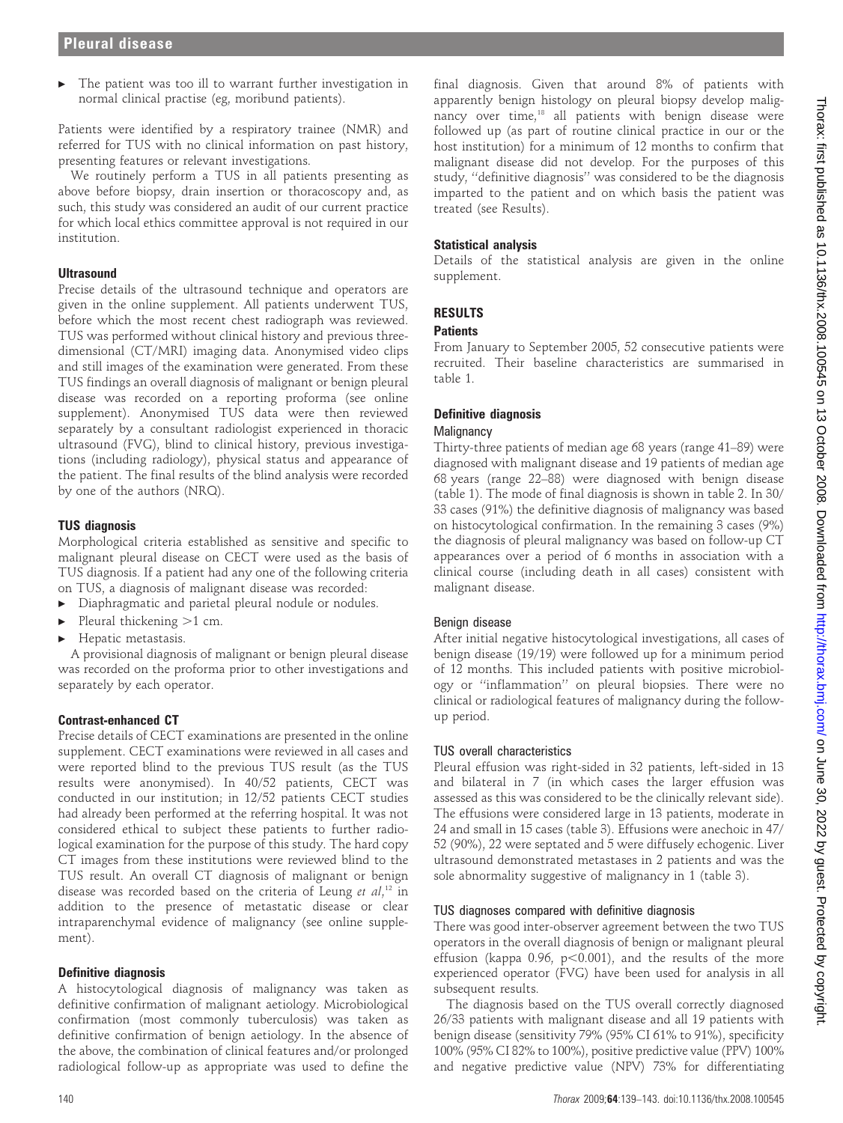The patient was too ill to warrant further investigation in normal clinical practise (eg, moribund patients).

Patients were identified by a respiratory trainee (NMR) and referred for TUS with no clinical information on past history, presenting features or relevant investigations.

We routinely perform a TUS in all patients presenting as above before biopsy, drain insertion or thoracoscopy and, as such, this study was considered an audit of our current practice for which local ethics committee approval is not required in our institution.

## **Ultrasound**

Precise details of the ultrasound technique and operators are given in the online supplement. All patients underwent TUS, before which the most recent chest radiograph was reviewed. TUS was performed without clinical history and previous threedimensional (CT/MRI) imaging data. Anonymised video clips and still images of the examination were generated. From these TUS findings an overall diagnosis of malignant or benign pleural disease was recorded on a reporting proforma (see online supplement). Anonymised TUS data were then reviewed separately by a consultant radiologist experienced in thoracic ultrasound (FVG), blind to clinical history, previous investigations (including radiology), physical status and appearance of the patient. The final results of the blind analysis were recorded by one of the authors (NRQ).

## TUS diagnosis

Morphological criteria established as sensitive and specific to malignant pleural disease on CECT were used as the basis of TUS diagnosis. If a patient had any one of the following criteria on TUS, a diagnosis of malignant disease was recorded:

- Diaphragmatic and parietal pleural nodule or nodules.
- Pleural thickening  $>1$  cm.
- Hepatic metastasis.

A provisional diagnosis of malignant or benign pleural disease was recorded on the proforma prior to other investigations and separately by each operator.

## Contrast-enhanced CT

Precise details of CECT examinations are presented in the online supplement. CECT examinations were reviewed in all cases and were reported blind to the previous TUS result (as the TUS results were anonymised). In 40/52 patients, CECT was conducted in our institution; in 12/52 patients CECT studies had already been performed at the referring hospital. It was not considered ethical to subject these patients to further radiological examination for the purpose of this study. The hard copy CT images from these institutions were reviewed blind to the TUS result. An overall CT diagnosis of malignant or benign disease was recorded based on the criteria of Leung et al,<sup>12</sup> in addition to the presence of metastatic disease or clear intraparenchymal evidence of malignancy (see online supplement).

## Definitive diagnosis

A histocytological diagnosis of malignancy was taken as definitive confirmation of malignant aetiology. Microbiological confirmation (most commonly tuberculosis) was taken as definitive confirmation of benign aetiology. In the absence of the above, the combination of clinical features and/or prolonged radiological follow-up as appropriate was used to define the

final diagnosis. Given that around 8% of patients with apparently benign histology on pleural biopsy develop malignancy over time,<sup>18</sup> all patients with benign disease were followed up (as part of routine clinical practice in our or the host institution) for a minimum of 12 months to confirm that malignant disease did not develop. For the purposes of this study, ''definitive diagnosis'' was considered to be the diagnosis imparted to the patient and on which basis the patient was treated (see Results).

#### Statistical analysis

Details of the statistical analysis are given in the online supplement.

# RESULTS

## **Patients**

From January to September 2005, 52 consecutive patients were recruited. Their baseline characteristics are summarised in table 1.

## Definitive diagnosis

## **Malignancy**

Thirty-three patients of median age 68 years (range 41–89) were diagnosed with malignant disease and 19 patients of median age 68 years (range 22–88) were diagnosed with benign disease (table 1). The mode of final diagnosis is shown in table 2. In 30/ 33 cases (91%) the definitive diagnosis of malignancy was based on histocytological confirmation. In the remaining 3 cases (9%) the diagnosis of pleural malignancy was based on follow-up CT appearances over a period of 6 months in association with a clinical course (including death in all cases) consistent with malignant disease.

## Benign disease

After initial negative histocytological investigations, all cases of benign disease (19/19) were followed up for a minimum period of 12 months. This included patients with positive microbiology or ''inflammation'' on pleural biopsies. There were no clinical or radiological features of malignancy during the followup period.

## TUS overall characteristics

Pleural effusion was right-sided in 32 patients, left-sided in 13 and bilateral in 7 (in which cases the larger effusion was assessed as this was considered to be the clinically relevant side). The effusions were considered large in 13 patients, moderate in 24 and small in 15 cases (table 3). Effusions were anechoic in 47/ 52 (90%), 22 were septated and 5 were diffusely echogenic. Liver ultrasound demonstrated metastases in 2 patients and was the sole abnormality suggestive of malignancy in 1 (table 3).

## TUS diagnoses compared with definitive diagnosis

There was good inter-observer agreement between the two TUS operators in the overall diagnosis of benign or malignant pleural effusion (kappa 0.96,  $p<0.001$ ), and the results of the more experienced operator (FVG) have been used for analysis in all subsequent results.

The diagnosis based on the TUS overall correctly diagnosed 26/33 patients with malignant disease and all 19 patients with benign disease (sensitivity 79% (95% CI 61% to 91%), specificity 100% (95% CI 82% to 100%), positive predictive value (PPV) 100% and negative predictive value (NPV) 73% for differentiating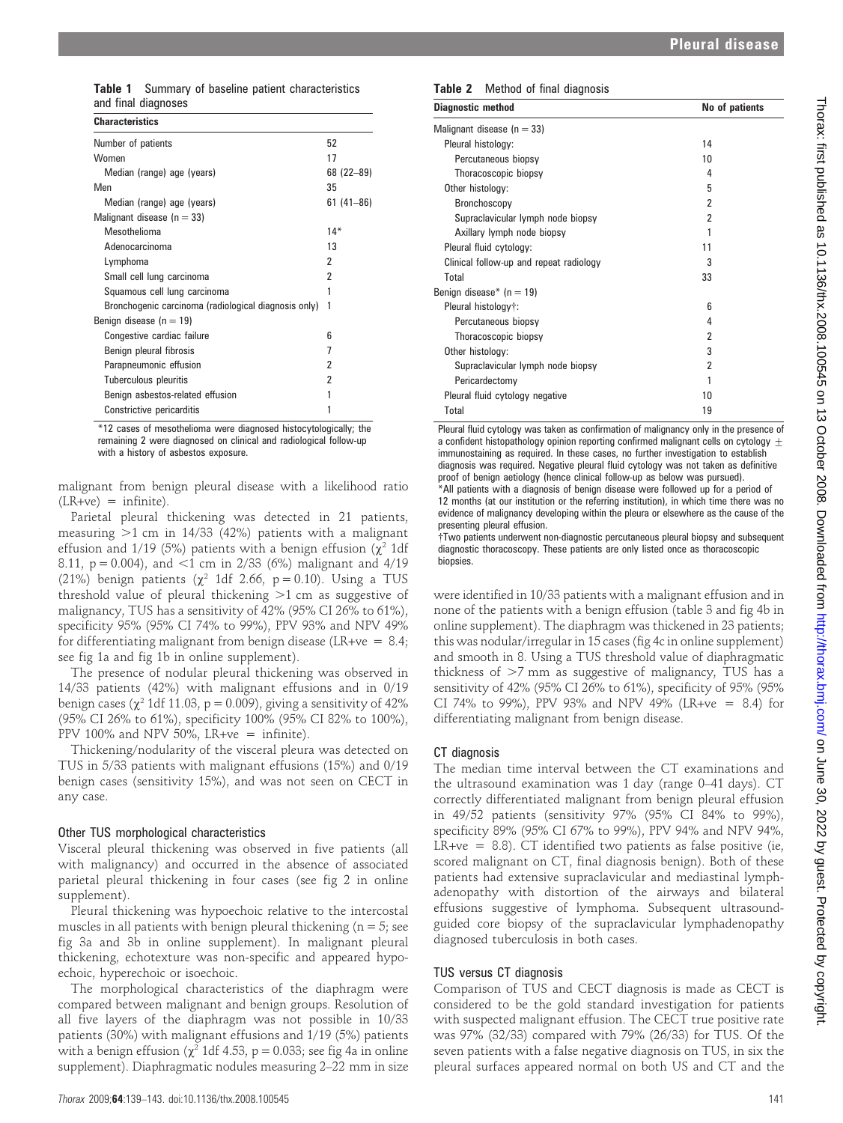Table 1 Summary of baseline patient characteristics and final diagnoses

| <b>Characteristics</b>                               |               |
|------------------------------------------------------|---------------|
| Number of patients                                   | 52            |
| Women                                                | 17            |
| Median (range) age (years)                           | 68 (22-89)    |
| Men                                                  | 35            |
| Median (range) age (years)                           | $61(41 - 86)$ |
| Malignant disease ( $n = 33$ )                       |               |
| Mesothelioma                                         | $14*$         |
| Adenocarcinoma                                       | 13            |
| Lymphoma                                             | 2             |
| Small cell lung carcinoma                            | 2             |
| Squamous cell lung carcinoma                         |               |
| Bronchogenic carcinoma (radiological diagnosis only) | 1             |
| Benign disease $(n = 19)$                            |               |
| Congestive cardiac failure                           | 6             |
| Benign pleural fibrosis                              | 7             |
| Parapneumonic effusion                               | 2             |
| Tuberculous pleuritis                                | 2             |
| Benign asbestos-related effusion                     | 1             |
| Constrictive pericarditis                            |               |

\*12 cases of mesothelioma were diagnosed histocytologically; the remaining 2 were diagnosed on clinical and radiological follow-up with a history of asbestos exposure.

malignant from benign pleural disease with a likelihood ratio  $(LR+ve) =$  infinite).

Parietal pleural thickening was detected in 21 patients, measuring  $>1$  cm in 14/33 (42%) patients with a malignant effusion and 1/19 (5%) patients with a benign effusion ( $\chi^2$  1df 8.11,  $p = 0.004$ ), and <1 cm in 2/33 (6%) malignant and 4/19 (21%) benign patients ( $\chi^2$  1df 2.66, p = 0.10). Using a TUS threshold value of pleural thickening  $>1$  cm as suggestive of malignancy, TUS has a sensitivity of 42% (95% CI 26% to 61%), specificity 95% (95% CI 74% to 99%), PPV 93% and NPV 49% for differentiating malignant from benign disease (LR+ve =  $8.4$ ; see fig 1a and fig 1b in online supplement).

The presence of nodular pleural thickening was observed in 14/33 patients (42%) with malignant effusions and in 0/19 benign cases ( $\chi^2$  1df 11.03, p = 0.009), giving a sensitivity of 42% (95% CI 26% to 61%), specificity 100% (95% CI 82% to 100%), PPV 100% and NPV 50%, LR+ve = infinite).

Thickening/nodularity of the visceral pleura was detected on TUS in 5/33 patients with malignant effusions (15%) and 0/19 benign cases (sensitivity 15%), and was not seen on CECT in any case.

#### Other TUS morphological characteristics

Visceral pleural thickening was observed in five patients (all with malignancy) and occurred in the absence of associated parietal pleural thickening in four cases (see fig 2 in online supplement).

Pleural thickening was hypoechoic relative to the intercostal muscles in all patients with benign pleural thickening ( $n = 5$ ; see fig 3a and 3b in online supplement). In malignant pleural thickening, echotexture was non-specific and appeared hypoechoic, hyperechoic or isoechoic.

The morphological characteristics of the diaphragm were compared between malignant and benign groups. Resolution of all five layers of the diaphragm was not possible in 10/33 patients (30%) with malignant effusions and 1/19 (5%) patients with a benign effusion ( $\chi^2$  1df 4.53, p = 0.033; see fig 4a in online supplement). Diaphragmatic nodules measuring 2–22 mm in size

#### Table 2 Method of final diagnosis

| Malignant disease ( $n = 33$ )               |  |
|----------------------------------------------|--|
| Pleural histology:<br>14                     |  |
| Percutaneous biopsy<br>10                    |  |
| Thoracoscopic biopsy<br>4                    |  |
| Other histology:<br>5                        |  |
| Bronchoscopy<br>2                            |  |
| 2<br>Supraclavicular lymph node biopsy       |  |
| Axillary lymph node biopsy                   |  |
| Pleural fluid cytology:<br>11                |  |
| 3<br>Clinical follow-up and repeat radiology |  |
| Total<br>33                                  |  |
| Benign disease* ( $n = 19$ )                 |  |
| Pleural histology†:<br>ĥ                     |  |
| Percutaneous biopsy<br>4                     |  |
| Thoracoscopic biopsy<br>2                    |  |
| Other histology:<br>3                        |  |
| Supraclavicular lymph node biopsy<br>2       |  |
| Pericardectomy<br>1                          |  |
| Pleural fluid cytology negative<br>10        |  |
| Total<br>19                                  |  |

Pleural fluid cytology was taken as confirmation of malignancy only in the presence of a confident histopathology opinion reporting confirmed malignant cells on cytology  $\pm$ immunostaining as required. In these cases, no further investigation to establish diagnosis was required. Negative pleural fluid cytology was not taken as definitive proof of benign aetiology (hence clinical follow-up as below was pursued). \*All patients with a diagnosis of benign disease were followed up for a period of 12 months (at our institution or the referring institution), in which time there was no evidence of malignancy developing within the pleura or elsewhere as the cause of the presenting pleural effusion.

{Two patients underwent non-diagnostic percutaneous pleural biopsy and subsequent diagnostic thoracoscopy. These patients are only listed once as thoracoscopic biopsies.

were identified in 10/33 patients with a malignant effusion and in none of the patients with a benign effusion (table 3 and fig 4b in online supplement). The diaphragm was thickened in 23 patients; this was nodular/irregular in 15 cases (fig 4c in online supplement) and smooth in 8. Using a TUS threshold value of diaphragmatic thickness of  $>7$  mm as suggestive of malignancy, TUS has a sensitivity of 42% (95% CI 26% to 61%), specificity of 95% (95% CI 74% to 99%), PPV 93% and NPV 49% (LR+ve = 8.4) for differentiating malignant from benign disease.

## CT diagnosis

The median time interval between the CT examinations and the ultrasound examination was 1 day (range 0–41 days). CT correctly differentiated malignant from benign pleural effusion in 49/52 patients (sensitivity 97% (95% CI 84% to 99%), specificity 89% (95% CI 67% to 99%), PPV 94% and NPV 94%, LR+ve =  $8.8$ ). CT identified two patients as false positive (ie, scored malignant on CT, final diagnosis benign). Both of these patients had extensive supraclavicular and mediastinal lymphadenopathy with distortion of the airways and bilateral effusions suggestive of lymphoma. Subsequent ultrasoundguided core biopsy of the supraclavicular lymphadenopathy diagnosed tuberculosis in both cases.

## TUS versus CT diagnosis

Comparison of TUS and CECT diagnosis is made as CECT is considered to be the gold standard investigation for patients with suspected malignant effusion. The CECT true positive rate was 97% (32/33) compared with 79% (26/33) for TUS. Of the seven patients with a false negative diagnosis on TUS, in six the pleural surfaces appeared normal on both US and CT and the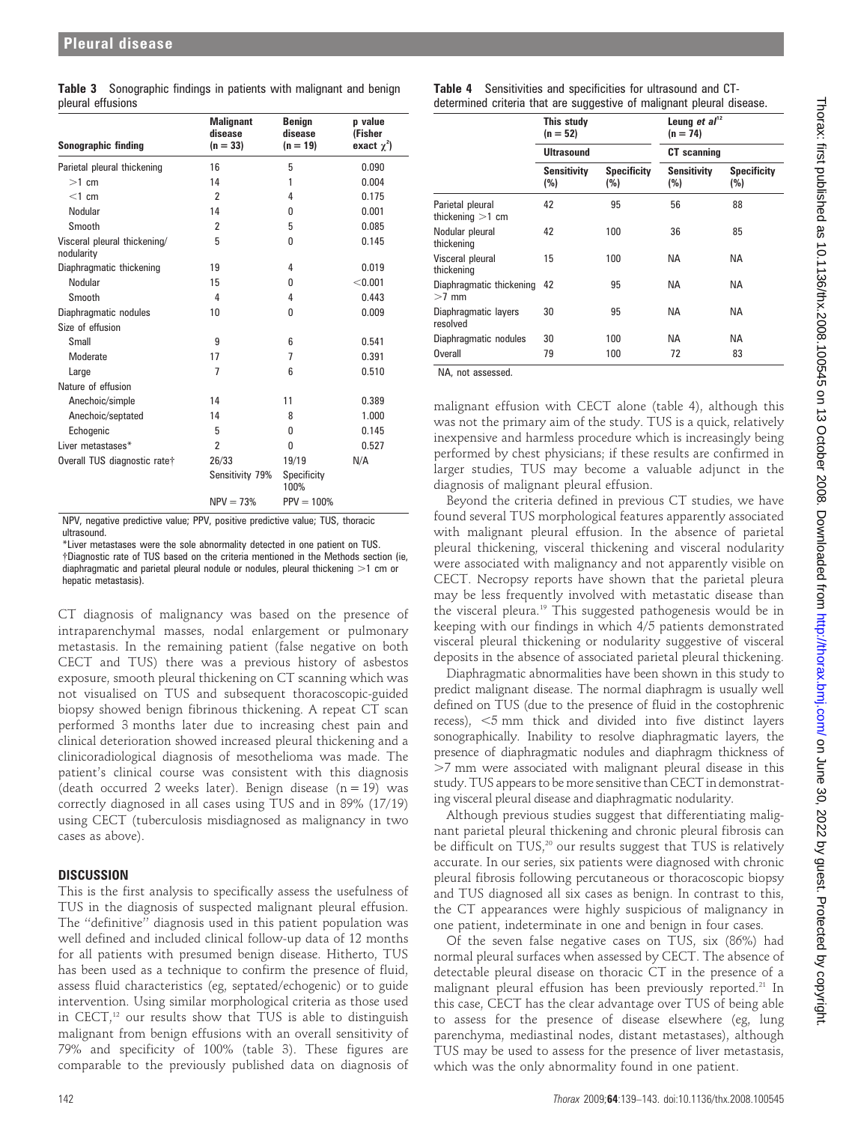|                   | <b>Table 3</b> Sonographic findings in patients with malignant and benign |  |  |  |  |
|-------------------|---------------------------------------------------------------------------|--|--|--|--|
| pleural effusions |                                                                           |  |  |  |  |

| Sonographic finding                        | <b>Malignant</b><br>disease<br>$(n = 33)$ | <b>Benign</b><br>disease<br>$(n = 19)$ | p value<br>(Fisher<br>exact $\chi^2$ ) |  |
|--------------------------------------------|-------------------------------------------|----------------------------------------|----------------------------------------|--|
| Parietal pleural thickening                | 16                                        | 5                                      | 0.090                                  |  |
| $>1$ cm                                    | 14                                        | 1                                      | 0.004                                  |  |
| $<$ 1 cm                                   | 2                                         | 4                                      | 0.175                                  |  |
| Nodular                                    | 14                                        | 0                                      | 0.001                                  |  |
| Smooth                                     | $\overline{2}$                            | 5                                      | 0.085                                  |  |
| Visceral pleural thickening/<br>nodularity | 5                                         | 0                                      | 0.145                                  |  |
| Diaphragmatic thickening                   | 19                                        | 4                                      | 0.019                                  |  |
| Nodular                                    | 15                                        | 0                                      | < 0.001                                |  |
| Smooth                                     | 4                                         | 4                                      | 0.443                                  |  |
| Diaphragmatic nodules                      | 10                                        | 0                                      | 0.009                                  |  |
| Size of effusion                           |                                           |                                        |                                        |  |
| Small                                      | 9                                         | 6                                      | 0.541                                  |  |
| Moderate                                   | 17                                        | 7                                      | 0.391                                  |  |
| Large                                      | 7                                         | 6                                      | 0.510                                  |  |
| Nature of effusion                         |                                           |                                        |                                        |  |
| Anechoic/simple                            | 14                                        | 11                                     | 0.389                                  |  |
| Anechoic/septated                          | 14                                        | 8                                      | 1.000                                  |  |
| Echogenic                                  | 5                                         | 0                                      | 0.145                                  |  |
| Liver metastases*                          | $\overline{2}$                            | 0                                      | 0.527                                  |  |
| Overall TUS diagnostic rate†               | 26/33                                     | 19/19                                  | N/A                                    |  |
|                                            | Sensitivity 79%                           | Specificity<br>100%                    |                                        |  |
|                                            | $NPV = 73%$                               | $PPV = 100%$                           |                                        |  |

NPV, negative predictive value; PPV, positive predictive value; TUS, thoracic ultrasound.

\*Liver metastases were the sole abnormality detected in one patient on TUS. {Diagnostic rate of TUS based on the criteria mentioned in the Methods section (ie, diaphragmatic and parietal pleural nodule or nodules, pleural thickening  $>1$  cm or hepatic metastasis).

CT diagnosis of malignancy was based on the presence of intraparenchymal masses, nodal enlargement or pulmonary metastasis. In the remaining patient (false negative on both CECT and TUS) there was a previous history of asbestos exposure, smooth pleural thickening on CT scanning which was not visualised on TUS and subsequent thoracoscopic-guided biopsy showed benign fibrinous thickening. A repeat CT scan performed 3 months later due to increasing chest pain and clinical deterioration showed increased pleural thickening and a clinicoradiological diagnosis of mesothelioma was made. The patient's clinical course was consistent with this diagnosis (death occurred 2 weeks later). Benign disease  $(n = 19)$  was correctly diagnosed in all cases using TUS and in 89% (17/19) using CECT (tuberculosis misdiagnosed as malignancy in two cases as above).

# **DISCUSSION**

This is the first analysis to specifically assess the usefulness of TUS in the diagnosis of suspected malignant pleural effusion. The ''definitive'' diagnosis used in this patient population was well defined and included clinical follow-up data of 12 months for all patients with presumed benign disease. Hitherto, TUS has been used as a technique to confirm the presence of fluid, assess fluid characteristics (eg, septated/echogenic) or to guide intervention. Using similar morphological criteria as those used in CECT, $12$  our results show that TUS is able to distinguish malignant from benign effusions with an overall sensitivity of 79% and specificity of 100% (table 3). These figures are comparable to the previously published data on diagnosis of

Table 4 Sensitivities and specificities for ultrasound and CTdetermined criteria that are suggestive of malignant pleural disease.

| This study<br>$(n = 52)$<br><b>Ultrasound</b> |                           | $(n = 74)$         |                           |  |
|-----------------------------------------------|---------------------------|--------------------|---------------------------|--|
|                                               |                           | <b>CT</b> scanning |                           |  |
| <b>Sensitivity</b><br>(%)                     | <b>Specificity</b><br>(%) | Sensitivity<br>(%) | <b>Specificity</b><br>(%) |  |
| 42                                            | 95                        | 56                 | 88                        |  |
| 42                                            | 100                       | 36                 | 85                        |  |
| 15                                            | 100                       | NA.                | <b>NA</b>                 |  |
| Diaphragmatic thickening 42                   | 95                        | ΝA                 | <b>NA</b>                 |  |
| 30                                            | 95                        | NA.                | <b>NA</b>                 |  |
| 30                                            | 100                       | ΝA                 | <b>NA</b>                 |  |
| 79                                            | 100                       | 72                 | 83                        |  |
|                                               |                           |                    | Leung et $a^{12}$         |  |

NA, not assessed.

malignant effusion with CECT alone (table 4), although this was not the primary aim of the study. TUS is a quick, relatively inexpensive and harmless procedure which is increasingly being performed by chest physicians; if these results are confirmed in larger studies, TUS may become a valuable adjunct in the diagnosis of malignant pleural effusion.

Beyond the criteria defined in previous CT studies, we have found several TUS morphological features apparently associated with malignant pleural effusion. In the absence of parietal pleural thickening, visceral thickening and visceral nodularity were associated with malignancy and not apparently visible on CECT. Necropsy reports have shown that the parietal pleura may be less frequently involved with metastatic disease than the visceral pleura.19 This suggested pathogenesis would be in keeping with our findings in which 4/5 patients demonstrated visceral pleural thickening or nodularity suggestive of visceral deposits in the absence of associated parietal pleural thickening.

Diaphragmatic abnormalities have been shown in this study to predict malignant disease. The normal diaphragm is usually well defined on TUS (due to the presence of fluid in the costophrenic recess),  $<$ 5 mm thick and divided into five distinct layers sonographically. Inability to resolve diaphragmatic layers, the presence of diaphragmatic nodules and diaphragm thickness of .7 mm were associated with malignant pleural disease in this study. TUS appears to be more sensitive than CECT in demonstrating visceral pleural disease and diaphragmatic nodularity.

Although previous studies suggest that differentiating malignant parietal pleural thickening and chronic pleural fibrosis can be difficult on TUS,<sup>20</sup> our results suggest that TUS is relatively accurate. In our series, six patients were diagnosed with chronic pleural fibrosis following percutaneous or thoracoscopic biopsy and TUS diagnosed all six cases as benign. In contrast to this, the CT appearances were highly suspicious of malignancy in one patient, indeterminate in one and benign in four cases.

Of the seven false negative cases on TUS, six (86%) had normal pleural surfaces when assessed by CECT. The absence of detectable pleural disease on thoracic CT in the presence of a malignant pleural effusion has been previously reported.<sup>21</sup> In this case, CECT has the clear advantage over TUS of being able to assess for the presence of disease elsewhere (eg, lung parenchyma, mediastinal nodes, distant metastases), although TUS may be used to assess for the presence of liver metastasis, which was the only abnormality found in one patient.